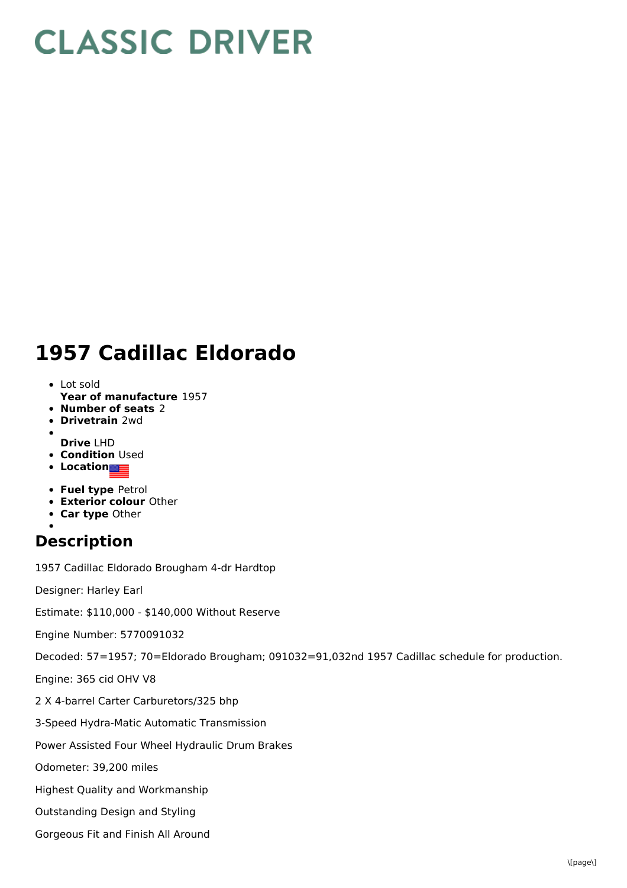## **CLASSIC DRIVER**

## **1957 Cadillac Eldorado**

- **Year of manufacture** 1957 Lot sold
- **Number of seats** 2
- **Drivetrain** 2wd
- **Drive** LHD
- **Condition Used**
- **Location**
- **Fuel type** Petrol
- **Exterior colour** Other
- **Car type** Other
- 

## **Description**

1957 Cadillac Eldorado Brougham 4-dr Hardtop

Designer: Harley Earl

Estimate: \$110,000 - \$140,000 Without Reserve

Engine Number: 5770091032

Decoded: 57=1957; 70=Eldorado Brougham; 091032=91,032nd 1957 Cadillac schedule for production.

Engine: 365 cid OHV V8

2 X 4-barrel Carter Carburetors/325 bhp

3-Speed Hydra-Matic Automatic Transmission

Power Assisted Four Wheel Hydraulic Drum Brakes

Odometer: 39,200 miles

Highest Quality and Workmanship

Outstanding Design and Styling

Gorgeous Fit and Finish All Around